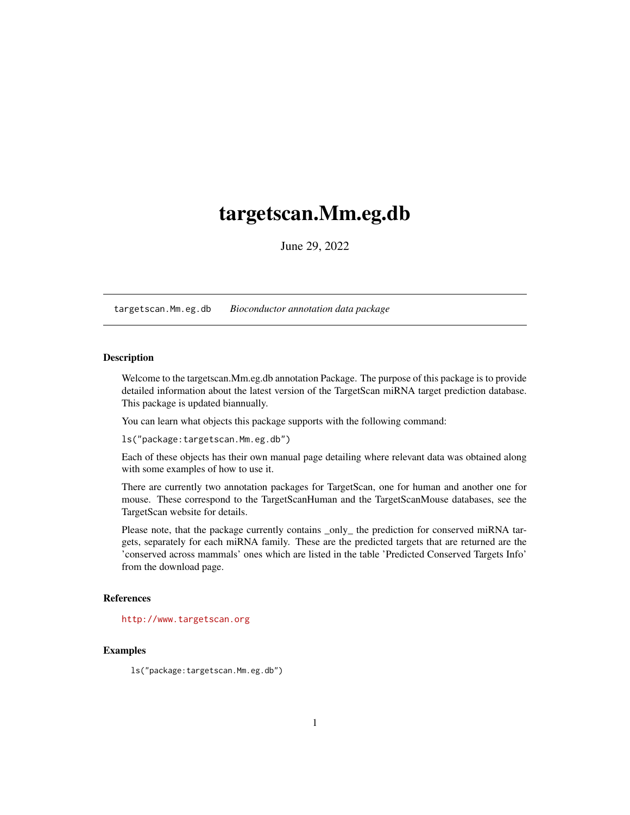# <span id="page-0-1"></span><span id="page-0-0"></span>targetscan.Mm.eg.db

June 29, 2022

targetscan.Mm.eg.db *Bioconductor annotation data package*

# **Description**

Welcome to the targetscan.Mm.eg.db annotation Package. The purpose of this package is to provide detailed information about the latest version of the TargetScan miRNA target prediction database. This package is updated biannually.

You can learn what objects this package supports with the following command:

ls("package:targetscan.Mm.eg.db")

Each of these objects has their own manual page detailing where relevant data was obtained along with some examples of how to use it.

There are currently two annotation packages for TargetScan, one for human and another one for mouse. These correspond to the TargetScanHuman and the TargetScanMouse databases, see the TargetScan website for details.

Please note, that the package currently contains \_only\_ the prediction for conserved miRNA targets, separately for each miRNA family. These are the predicted targets that are returned are the 'conserved across mammals' ones which are listed in the table 'Predicted Conserved Targets Info' from the download page.

#### References

<http://www.targetscan.org>

# Examples

ls("package:targetscan.Mm.eg.db")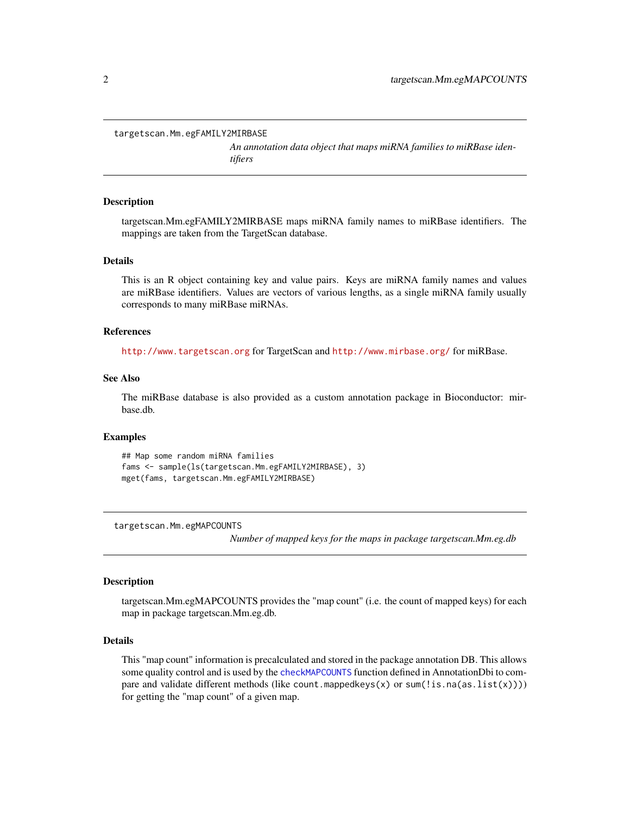<span id="page-1-0"></span>targetscan.Mm.egFAMILY2MIRBASE

*An annotation data object that maps miRNA families to miRBase identifiers*

#### **Description**

targetscan.Mm.egFAMILY2MIRBASE maps miRNA family names to miRBase identifiers. The mappings are taken from the TargetScan database.

#### Details

This is an R object containing key and value pairs. Keys are miRNA family names and values are miRBase identifiers. Values are vectors of various lengths, as a single miRNA family usually corresponds to many miRBase miRNAs.

## References

<http://www.targetscan.org> for TargetScan and <http://www.mirbase.org/> for miRBase.

# See Also

The miRBase database is also provided as a custom annotation package in Bioconductor: mirbase.db.

#### Examples

```
## Map some random miRNA families
fams <- sample(ls(targetscan.Mm.egFAMILY2MIRBASE), 3)
mget(fams, targetscan.Mm.egFAMILY2MIRBASE)
```
targetscan.Mm.egMAPCOUNTS

*Number of mapped keys for the maps in package targetscan.Mm.eg.db*

## **Description**

targetscan.Mm.egMAPCOUNTS provides the "map count" (i.e. the count of mapped keys) for each map in package targetscan.Mm.eg.db.

#### Details

This "map count" information is precalculated and stored in the package annotation DB. This allows some quality control and is used by the [checkMAPCOUNTS](#page-0-0) function defined in AnnotationDbi to compare and validate different methods (like count.mappedkeys(x) or sum(!is.na(as.list(x)))) for getting the "map count" of a given map.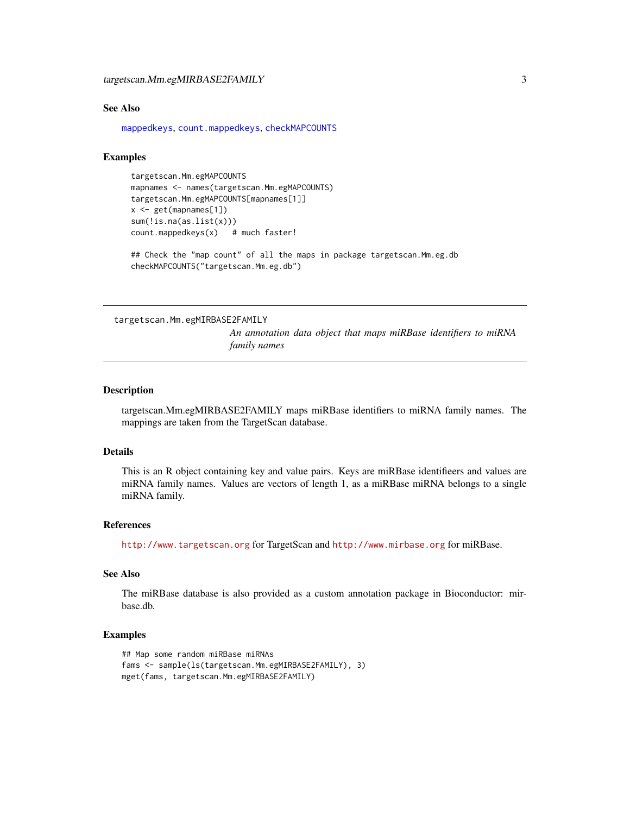#### <span id="page-2-0"></span>See Also

[mappedkeys](#page-0-0), [count.mappedkeys](#page-0-0), [checkMAPCOUNTS](#page-0-0)

# Examples

```
targetscan.Mm.egMAPCOUNTS
mapnames <- names(targetscan.Mm.egMAPCOUNTS)
targetscan.Mm.egMAPCOUNTS[mapnames[1]]
x <- get(mapnames[1])
sum(!is.na(as.list(x)))
count.mappedkeys(x) # much faster!
```
## Check the "map count" of all the maps in package targetscan. Mm.eg.db checkMAPCOUNTS("targetscan.Mm.eg.db")

targetscan.Mm.egMIRBASE2FAMILY

*An annotation data object that maps miRBase identifiers to miRNA family names*

#### Description

targetscan.Mm.egMIRBASE2FAMILY maps miRBase identifiers to miRNA family names. The mappings are taken from the TargetScan database.

#### Details

This is an R object containing key and value pairs. Keys are miRBase identifieers and values are miRNA family names. Values are vectors of length 1, as a miRBase miRNA belongs to a single miRNA family.

# References

<http://www.targetscan.org> for TargetScan and <http://www.mirbase.org> for miRBase.

# See Also

The miRBase database is also provided as a custom annotation package in Bioconductor: mirbase.db.

#### Examples

```
## Map some random miRBase miRNAs
fams <- sample(ls(targetscan.Mm.egMIRBASE2FAMILY), 3)
mget(fams, targetscan.Mm.egMIRBASE2FAMILY)
```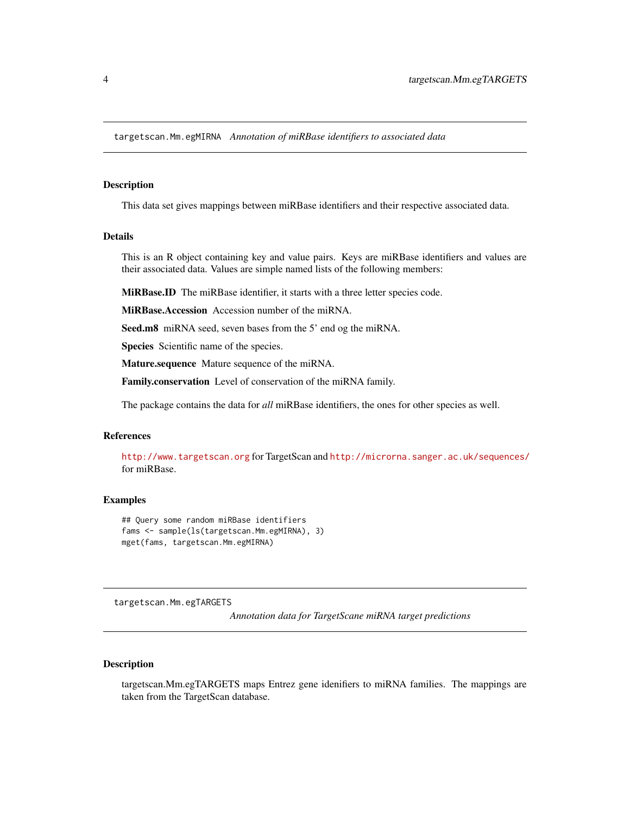<span id="page-3-0"></span>targetscan.Mm.egMIRNA *Annotation of miRBase identifiers to associated data*

#### Description

This data set gives mappings between miRBase identifiers and their respective associated data.

# Details

This is an R object containing key and value pairs. Keys are miRBase identifiers and values are their associated data. Values are simple named lists of the following members:

MiRBase.ID The miRBase identifier, it starts with a three letter species code.

MiRBase.Accession Accession number of the miRNA.

Seed.m8 miRNA seed, seven bases from the 5' end og the miRNA.

Species Scientific name of the species.

Mature.sequence Mature sequence of the miRNA.

Family.conservation Level of conservation of the miRNA family.

The package contains the data for *all* miRBase identifiers, the ones for other species as well.

# References

<http://www.targetscan.org> for TargetScan and <http://microrna.sanger.ac.uk/sequences/> for miRBase.

#### Examples

```
## Query some random miRBase identifiers
fams <- sample(ls(targetscan.Mm.egMIRNA), 3)
mget(fams, targetscan.Mm.egMIRNA)
```
targetscan.Mm.egTARGETS

*Annotation data for TargetScane miRNA target predictions*

#### Description

targetscan.Mm.egTARGETS maps Entrez gene idenifiers to miRNA families. The mappings are taken from the TargetScan database.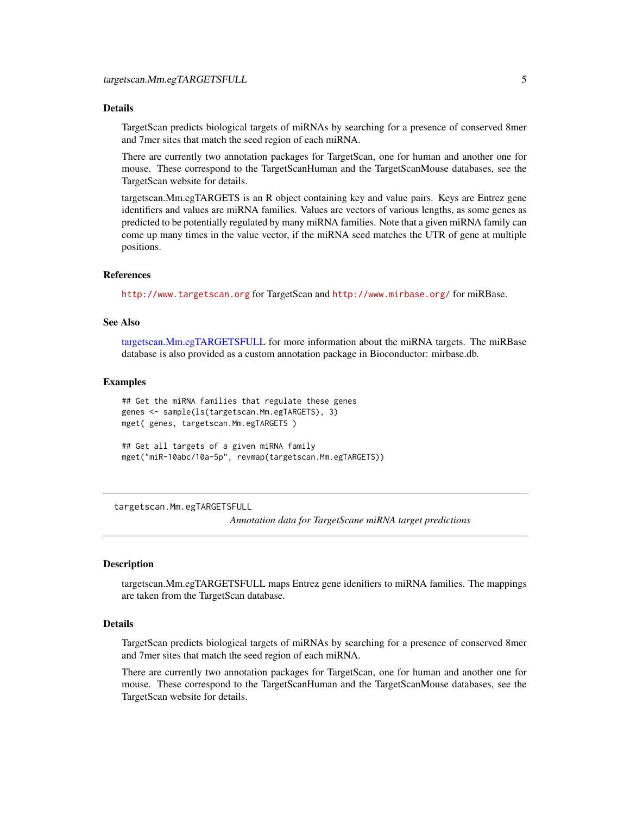# <span id="page-4-1"></span>Details

TargetScan predicts biological targets of miRNAs by searching for a presence of conserved 8mer and 7mer sites that match the seed region of each miRNA.

There are currently two annotation packages for TargetScan, one for human and another one for mouse. These correspond to the TargetScanHuman and the TargetScanMouse databases, see the TargetScan website for details.

targetscan.Mm.egTARGETS is an R object containing key and value pairs. Keys are Entrez gene identifiers and values are miRNA families. Values are vectors of various lengths, as some genes as predicted to be potentially regulated by many miRNA families. Note that a given miRNA family can come up many times in the value vector, if the miRNA seed matches the UTR of gene at multiple positions.

# References

<http://www.targetscan.org> for TargetScan and <http://www.mirbase.org/> for miRBase.

#### See Also

[targetscan.Mm.egTARGETSFULL](#page-4-0) for more information about the miRNA targets. The miRBase database is also provided as a custom annotation package in Bioconductor: mirbase.db.

#### Examples

```
## Get the miRNA families that regulate these genes
genes <- sample(ls(targetscan.Mm.egTARGETS), 3)
mget( genes, targetscan.Mm.egTARGETS )
## Get all targets of a given miRNA family
```
mget("miR-10abc/10a-5p", revmap(targetscan.Mm.egTARGETS))

<span id="page-4-0"></span>targetscan.Mm.egTARGETSFULL

*Annotation data for TargetScane miRNA target predictions*

#### Description

targetscan.Mm.egTARGETSFULL maps Entrez gene idenifiers to miRNA families. The mappings are taken from the TargetScan database.

#### Details

TargetScan predicts biological targets of miRNAs by searching for a presence of conserved 8mer and 7mer sites that match the seed region of each miRNA.

There are currently two annotation packages for TargetScan, one for human and another one for mouse. These correspond to the TargetScanHuman and the TargetScanMouse databases, see the TargetScan website for details.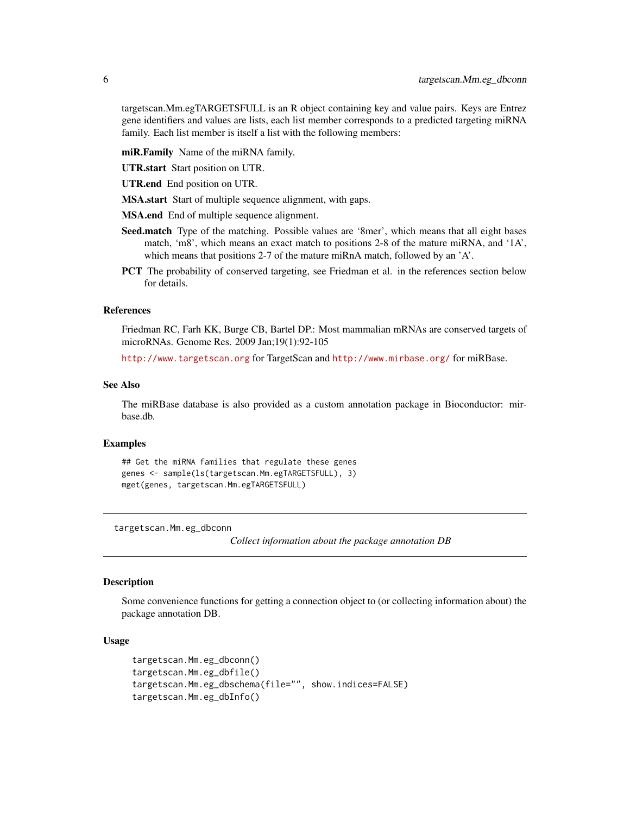<span id="page-5-0"></span>targetscan.Mm.egTARGETSFULL is an R object containing key and value pairs. Keys are Entrez gene identifiers and values are lists, each list member corresponds to a predicted targeting miRNA family. Each list member is itself a list with the following members:

miR.Family Name of the miRNA family.

UTR.start Start position on UTR.

UTR.end End position on UTR.

MSA.start Start of multiple sequence alignment, with gaps.

MSA.end End of multiple sequence alignment.

- Seed.match Type of the matching. Possible values are '8mer', which means that all eight bases match, 'm8', which means an exact match to positions 2-8 of the mature miRNA, and '1A', which means that positions 2-7 of the mature miRnA match, followed by an 'A'.
- PCT The probability of conserved targeting, see Friedman et al. in the references section below for details.

# References

Friedman RC, Farh KK, Burge CB, Bartel DP.: Most mammalian mRNAs are conserved targets of microRNAs. Genome Res. 2009 Jan;19(1):92-105

<http://www.targetscan.org> for TargetScan and <http://www.mirbase.org/> for miRBase.

#### See Also

The miRBase database is also provided as a custom annotation package in Bioconductor: mirbase.db.

## **Examples**

```
## Get the miRNA families that regulate these genes
genes <- sample(ls(targetscan.Mm.egTARGETSFULL), 3)
mget(genes, targetscan.Mm.egTARGETSFULL)
```
targetscan.Mm.eg\_dbconn

*Collect information about the package annotation DB*

# Description

Some convenience functions for getting a connection object to (or collecting information about) the package annotation DB.

#### Usage

```
targetscan.Mm.eg_dbconn()
targetscan.Mm.eg_dbfile()
targetscan.Mm.eg_dbschema(file="", show.indices=FALSE)
targetscan.Mm.eg_dbInfo()
```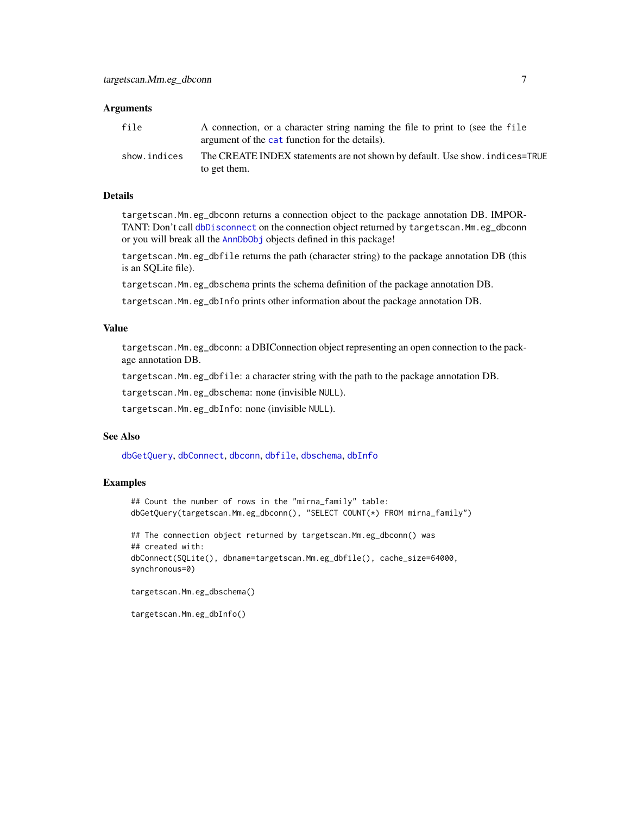#### <span id="page-6-0"></span>**Arguments**

| file         | A connection, or a character string naming the file to print to (see the file<br>argument of the cat function for the details). |
|--------------|---------------------------------------------------------------------------------------------------------------------------------|
| show.indices | The CREATE INDEX statements are not shown by default. Use show, indices=TRUE<br>to get them.                                    |

#### Details

targetscan.Mm.eg\_dbconn returns a connection object to the package annotation DB. IMPORTANT: Don't call [dbDisconnect](#page-0-0) on the connection object returned by targetscan.Mm.eg\_dbconn or you will break all the [AnnDbObj](#page-0-0) objects defined in this package!

targetscan.Mm.eg\_dbfile returns the path (character string) to the package annotation DB (this is an SQLite file).

targetscan.Mm.eg\_dbschema prints the schema definition of the package annotation DB.

targetscan.Mm.eg\_dbInfo prints other information about the package annotation DB.

#### Value

targetscan.Mm.eg\_dbconn: a DBIConnection object representing an open connection to the package annotation DB.

targetscan.Mm.eg\_dbfile: a character string with the path to the package annotation DB.

targetscan.Mm.eg\_dbschema: none (invisible NULL).

targetscan.Mm.eg\_dbInfo: none (invisible NULL).

# See Also

[dbGetQuery](#page-0-0), [dbConnect](#page-0-0), [dbconn](#page-0-0), [dbfile](#page-0-0), [dbschema](#page-0-0), [dbInfo](#page-0-0)

#### Examples

```
## Count the number of rows in the "mirna_family" table:
dbGetQuery(targetscan.Mm.eg_dbconn(), "SELECT COUNT(*) FROM mirna_family")
## The connection object returned by targetscan.Mm.eg_dbconn() was
## created with:
```
dbConnect(SQLite(), dbname=targetscan.Mm.eg\_dbfile(), cache\_size=64000, synchronous=0)

```
targetscan.Mm.eg_dbschema()
```

```
targetscan.Mm.eg_dbInfo()
```